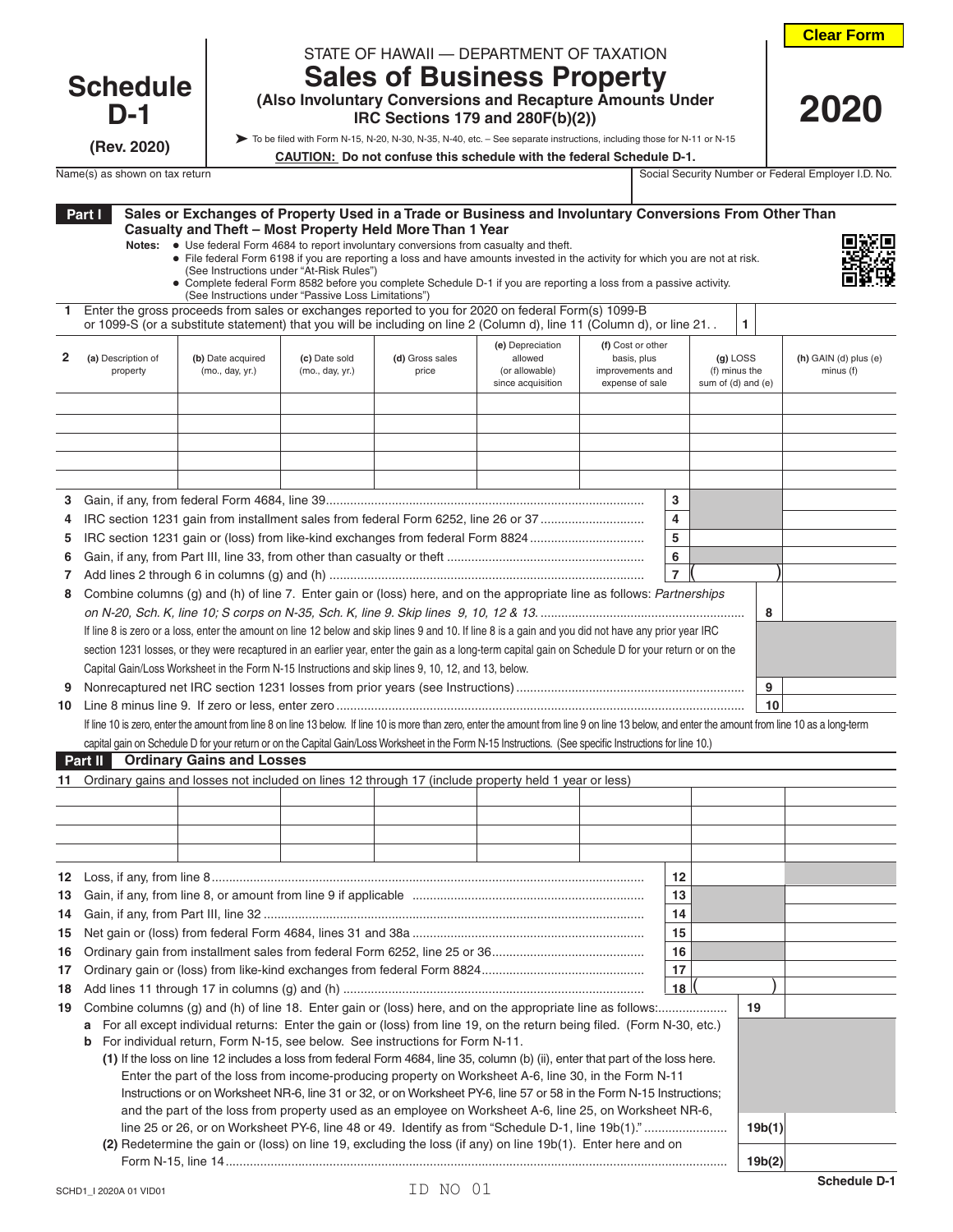| <b>Clear Form</b> |  |  |  |  |  |
|-------------------|--|--|--|--|--|
|-------------------|--|--|--|--|--|

 **2020**

## **Schedule D-1**

**(Rev. 2020)**

| STATE OF HAWAII - DEPARTMENT OF TAXATION |  |
|------------------------------------------|--|

## **Sales of Business Property (Also Involuntary Conversions and Recapture Amounts Under**

To be filed with Form N-15, N-20, N-30, N-35, N-40, etc. – See separate instructions, including those for N-11 or N-15

**CAUTION: Do not confuse this schedule with the federal Schedule D-1.**

 **IRC Sections 179 and 280F(b)(2))**

| Name(s) as shown on tax return | Social<br>. Securit<br>Number or | I.D. No.<br>Federal<br>. Emplover |
|--------------------------------|----------------------------------|-----------------------------------|

|        | Part I  |                                |                                                     |                                  |                                                                                                                                                       | Sales or Exchanges of Property Used in a Trade or Business and Involuntary Conversions From Other Than                                                                                                                                              |                                                                         |                     |                                                   |                                          |
|--------|---------|--------------------------------|-----------------------------------------------------|----------------------------------|-------------------------------------------------------------------------------------------------------------------------------------------------------|-----------------------------------------------------------------------------------------------------------------------------------------------------------------------------------------------------------------------------------------------------|-------------------------------------------------------------------------|---------------------|---------------------------------------------------|------------------------------------------|
|        |         |                                | (See Instructions under "At-Risk Rules")            |                                  | Casualty and Theft - Most Property Held More Than 1 Year<br>Notes: • Use federal Form 4684 to report involuntary conversions from casualty and theft. | • File federal Form 6198 if you are reporting a loss and have amounts invested in the activity for which you are not at risk.<br>• Complete federal Form 8582 before you complete Schedule D-1 if you are reporting a loss from a passive activity. |                                                                         |                     |                                                   |                                          |
| -1.    |         |                                | (See Instructions under "Passive Loss Limitations") |                                  |                                                                                                                                                       | Enter the gross proceeds from sales or exchanges reported to you for 2020 on federal Form(s) 1099-B                                                                                                                                                 |                                                                         |                     |                                                   |                                          |
|        |         |                                |                                                     |                                  |                                                                                                                                                       | or 1099-S (or a substitute statement) that you will be including on line 2 (Column d), line 11 (Column d), or line 21. .                                                                                                                            |                                                                         |                     | 1                                                 |                                          |
| 2      |         | (a) Description of<br>property | (b) Date acquired<br>(mo., day, yr.)                | (c) Date sold<br>(mo., day, yr.) | (d) Gross sales<br>price                                                                                                                              | (e) Depreciation<br>allowed<br>(or allowable)<br>since acquisition                                                                                                                                                                                  | (f) Cost or other<br>basis, plus<br>improvements and<br>expense of sale |                     | $(g)$ LOSS<br>(f) minus the<br>sum of (d) and (e) | $(h)$ GAIN $(d)$ plus $(e)$<br>minus (f) |
|        |         |                                |                                                     |                                  |                                                                                                                                                       |                                                                                                                                                                                                                                                     |                                                                         |                     |                                                   |                                          |
|        |         |                                |                                                     |                                  |                                                                                                                                                       |                                                                                                                                                                                                                                                     |                                                                         |                     |                                                   |                                          |
|        |         |                                |                                                     |                                  |                                                                                                                                                       |                                                                                                                                                                                                                                                     |                                                                         |                     |                                                   |                                          |
|        |         |                                |                                                     |                                  |                                                                                                                                                       |                                                                                                                                                                                                                                                     |                                                                         |                     |                                                   |                                          |
|        |         |                                |                                                     |                                  |                                                                                                                                                       |                                                                                                                                                                                                                                                     |                                                                         |                     |                                                   |                                          |
| 3      |         |                                |                                                     |                                  |                                                                                                                                                       |                                                                                                                                                                                                                                                     |                                                                         | 3                   |                                                   |                                          |
| 4      |         |                                |                                                     |                                  |                                                                                                                                                       | IRC section 1231 gain from installment sales from federal Form 6252, line 26 or 37                                                                                                                                                                  |                                                                         | 4                   |                                                   |                                          |
| 5      |         |                                |                                                     |                                  |                                                                                                                                                       | IRC section 1231 gain or (loss) from like-kind exchanges from federal Form 8824                                                                                                                                                                     |                                                                         | 5                   |                                                   |                                          |
| 6<br>7 |         |                                |                                                     |                                  |                                                                                                                                                       |                                                                                                                                                                                                                                                     |                                                                         | 6<br>$\overline{7}$ |                                                   |                                          |
| 8      |         |                                |                                                     |                                  |                                                                                                                                                       | Combine columns (g) and (h) of line 7. Enter gain or (loss) here, and on the appropriate line as follows: Partnerships                                                                                                                              |                                                                         |                     |                                                   |                                          |
|        |         |                                |                                                     |                                  |                                                                                                                                                       |                                                                                                                                                                                                                                                     |                                                                         |                     | 8                                                 |                                          |
|        |         |                                |                                                     |                                  |                                                                                                                                                       | If line 8 is zero or a loss, enter the amount on line 12 below and skip lines 9 and 10. If line 8 is a gain and you did not have any prior year IRC                                                                                                 |                                                                         |                     |                                                   |                                          |
|        |         |                                |                                                     |                                  |                                                                                                                                                       | section 1231 losses, or they were recaptured in an earlier year, enter the gain as a long-term capital gain on Schedule D for your return or on the                                                                                                 |                                                                         |                     |                                                   |                                          |
|        |         |                                |                                                     |                                  | Capital Gain/Loss Worksheet in the Form N-15 Instructions and skip lines 9, 10, 12, and 13, below.                                                    |                                                                                                                                                                                                                                                     |                                                                         |                     |                                                   |                                          |
| 9      |         |                                |                                                     |                                  |                                                                                                                                                       |                                                                                                                                                                                                                                                     |                                                                         |                     | 9                                                 |                                          |
| 10     |         |                                |                                                     |                                  |                                                                                                                                                       |                                                                                                                                                                                                                                                     |                                                                         |                     | 10                                                |                                          |
|        |         |                                |                                                     |                                  |                                                                                                                                                       | If line 10 is zero, enter the amount from line 8 on line 13 below. If line 10 is more than zero, enter the amount from line 9 on line 13 below, and enter the amount from line 10 as a long-term                                                    |                                                                         |                     |                                                   |                                          |
|        |         |                                |                                                     |                                  |                                                                                                                                                       | capital gain on Schedule D for your return or on the Capital Gain/Loss Worksheet in the Form N-15 Instructions. (See specific Instructions for line 10.)                                                                                            |                                                                         |                     |                                                   |                                          |
|        | Part II |                                | <b>Ordinary Gains and Losses</b>                    |                                  |                                                                                                                                                       |                                                                                                                                                                                                                                                     |                                                                         |                     |                                                   |                                          |
| 11     |         |                                |                                                     |                                  |                                                                                                                                                       | Ordinary gains and losses not included on lines 12 through 17 (include property held 1 year or less)                                                                                                                                                |                                                                         |                     |                                                   |                                          |
|        |         |                                |                                                     |                                  |                                                                                                                                                       |                                                                                                                                                                                                                                                     |                                                                         |                     |                                                   |                                          |
|        |         |                                |                                                     |                                  |                                                                                                                                                       |                                                                                                                                                                                                                                                     |                                                                         |                     |                                                   |                                          |
|        |         |                                |                                                     |                                  |                                                                                                                                                       |                                                                                                                                                                                                                                                     |                                                                         |                     |                                                   |                                          |
|        |         |                                |                                                     |                                  |                                                                                                                                                       |                                                                                                                                                                                                                                                     |                                                                         | 12                  |                                                   |                                          |
|        |         |                                |                                                     |                                  |                                                                                                                                                       |                                                                                                                                                                                                                                                     |                                                                         | 13                  |                                                   |                                          |
| 14     |         |                                |                                                     |                                  |                                                                                                                                                       |                                                                                                                                                                                                                                                     |                                                                         | 14                  |                                                   |                                          |
| 15     |         |                                |                                                     |                                  |                                                                                                                                                       |                                                                                                                                                                                                                                                     |                                                                         | 15                  |                                                   |                                          |
| 16     |         |                                |                                                     |                                  |                                                                                                                                                       |                                                                                                                                                                                                                                                     |                                                                         | 16                  |                                                   |                                          |
| 17     |         |                                |                                                     |                                  |                                                                                                                                                       |                                                                                                                                                                                                                                                     |                                                                         | 17                  |                                                   |                                          |
| 18     |         |                                |                                                     |                                  |                                                                                                                                                       |                                                                                                                                                                                                                                                     |                                                                         | 18 l                |                                                   |                                          |
| 19     |         |                                |                                                     |                                  |                                                                                                                                                       |                                                                                                                                                                                                                                                     |                                                                         |                     | 19                                                |                                          |
|        | а       |                                |                                                     |                                  |                                                                                                                                                       | For all except individual returns: Enter the gain or (loss) from line 19, on the return being filed. (Form N-30, etc.)                                                                                                                              |                                                                         |                     |                                                   |                                          |
|        | b       |                                |                                                     |                                  | For individual return, Form N-15, see below. See instructions for Form N-11.                                                                          |                                                                                                                                                                                                                                                     |                                                                         |                     |                                                   |                                          |
|        |         |                                |                                                     |                                  |                                                                                                                                                       | (1) If the loss on line 12 includes a loss from federal Form 4684, line 35, column (b) (ii), enter that part of the loss here.<br>Enter the part of the loss from income-producing property on Worksheet A-6, line 30, in the Form N-11             |                                                                         |                     |                                                   |                                          |
|        |         |                                |                                                     |                                  |                                                                                                                                                       | Instructions or on Worksheet NR-6, line 31 or 32, or on Worksheet PY-6, line 57 or 58 in the Form N-15 Instructions;                                                                                                                                |                                                                         |                     |                                                   |                                          |
|        |         |                                |                                                     |                                  |                                                                                                                                                       | and the part of the loss from property used as an employee on Worksheet A-6, line 25, on Worksheet NR-6,                                                                                                                                            |                                                                         |                     |                                                   |                                          |
|        |         |                                |                                                     |                                  |                                                                                                                                                       |                                                                                                                                                                                                                                                     |                                                                         |                     | 19b(1)                                            |                                          |
|        |         |                                |                                                     |                                  |                                                                                                                                                       | (2) Redetermine the gain or (loss) on line 19, excluding the loss (if any) on line 19b(1). Enter here and on                                                                                                                                        |                                                                         |                     |                                                   |                                          |
|        |         |                                |                                                     |                                  |                                                                                                                                                       |                                                                                                                                                                                                                                                     |                                                                         |                     | 19b(2)                                            |                                          |